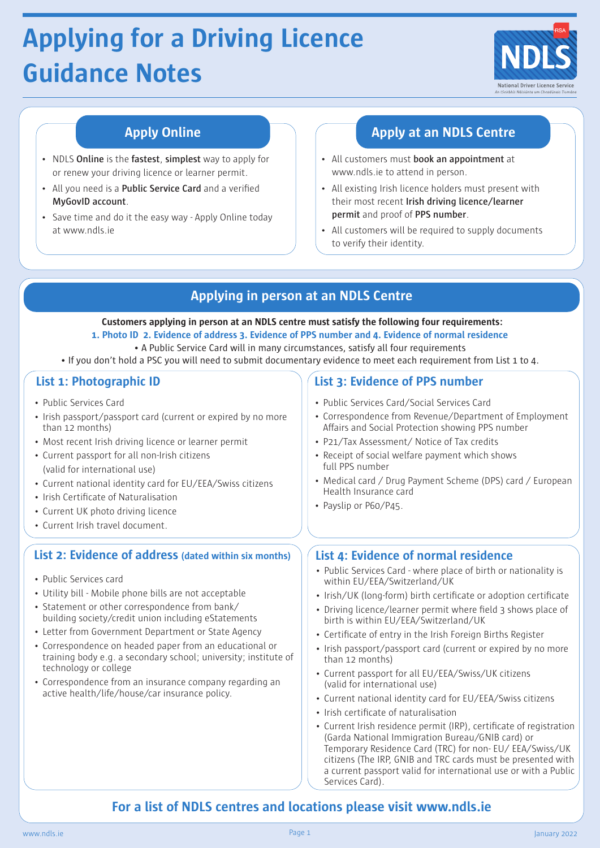# **Applying for a Driving Licence Guidance Notes**



- NDLS **Online** is the **fastest**, **simplest** way to apply for or renew your driving licence or learner permit.
- All you need is a **Public Service Card** and a verified **MyGovID account**.
- Save time and do it the easy way Apply Online today at www.ndls.ie

# **Apply Online Apply at an NDLS Centre**

- All customers must **book an appointment** at www.ndls.ie to attend in person.
- All existing Irish licence holders must present with their most recent **Irish driving licence/learner permit** and proof of **PPS number**.
- All customers will be required to supply documents to verify their identity.

# **Applying in person at an NDLS Centre**

 **Customers applying in person at an NDLS centre must satisfy the following four requirements: 1. Photo ID 2. Evidence of address 3. Evidence of PPS number and 4. Evidence of normal residence**

- A Public Service Card will in many circumstances, satisfy all four requirements
- If you don't hold a PSC you will need to submit documentary evidence to meet each requirement from List 1 to 4.

- Public Services Card
- Irish passport/passport card (current or expired by no more than 12 months)
- Most recent Irish driving licence or learner permit
- Current passport for all non-Irish citizens (valid for international use)
- Current national identity card for EU/EEA/Swiss citizens
- Irish Certificate of Naturalisation
- Current UK photo driving licence
- Current Irish travel document.

### **List 2: Evidence of address (dated within six months) List 4: Evidence of normal residence**

- Public Services card
- Utility bill Mobile phone bills are not acceptable
- Statement or other correspondence from bank/ building society/credit union including eStatements
- Letter from Government Department or State Agency
- Correspondence on headed paper from an educational or training body e.g. a secondary school; university; institute of technology or college
- Correspondence from an insurance company regarding an active health/life/house/car insurance policy.

# **List 1: Photographic ID List 3: Evidence of PPS number**

- Public Services Card/Social Services Card
- Correspondence from Revenue/Department of Employment Affairs and Social Protection showing PPS number
- P21/Tax Assessment/ Notice of Tax credits
- Receipt of social welfare payment which shows full PPS number
- Medical card / Drug Payment Scheme (DPS) card / European Health Insurance card
- Payslip or P60/P45.

- Public Services Card where place of birth or nationality is within EU/EEA/Switzerland/UK
- Irish/UK (long-form) birth certificate or adoption certificate
- Driving licence/learner permit where field 3 shows place of birth is within EU/EEA/Switzerland/UK
- Certificate of entry in the Irish Foreign Births Register
- Irish passport/passport card (current or expired by no more than 12 months)
- Current passport for all EU/EEA/Swiss/UK citizens (valid for international use)
- Current national identity card for EU/EEA/Swiss citizens
- Irish certificate of naturalisation
- Current Irish residence permit (IRP), certificate of registration (Garda National Immigration Bureau/GNIB card) or Temporary Residence Card (TRC) for non- EU/ EEA/Swiss/UK citizens (The IRP, GNIB and TRC cards must be presented with a current passport valid for international use or with a Public Services Card).

# **For a list of NDLS centres and locations please visit www.ndls.ie**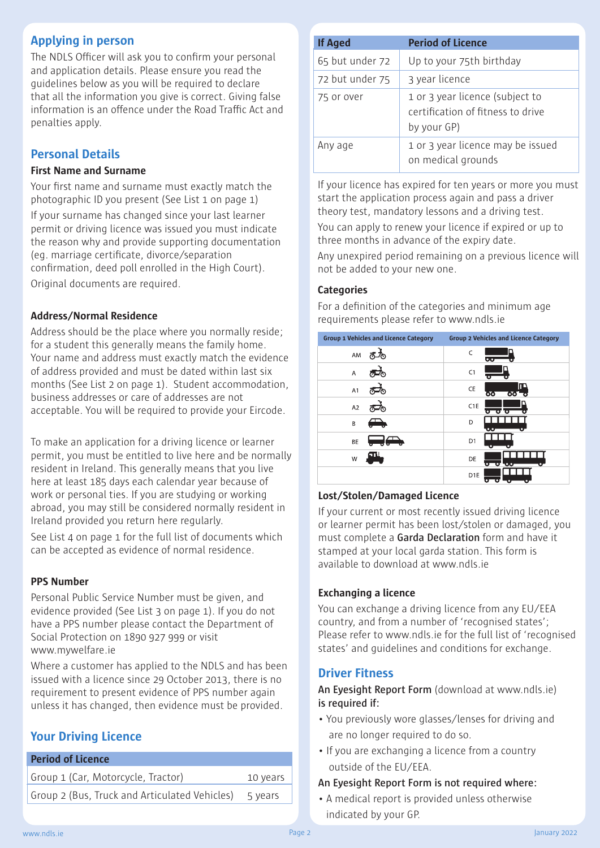# **Applying in person**

The NDLS Officer will ask you to confirm your personal and application details. Please ensure you read the guidelines below as you will be required to declare that all the information you give is correct. Giving false information is an offence under the Road Traffic Act and penalties apply.

# **Personal Details**

#### **First Name and Surname**

Your first name and surname must exactly match the photographic ID you present (See List 1 on page 1) If your surname has changed since your last learner permit or driving licence was issued you must indicate the reason why and provide supporting documentation (eg. marriage certificate, divorce/separation confirmation, deed poll enrolled in the High Court). Original documents are required.

#### **Address/Normal Residence**

Address should be the place where you normally reside; for a student this generally means the family home. Your name and address must exactly match the evidence of address provided and must be dated within last six months (See List 2 on page 1). Student accommodation, business addresses or care of addresses are not acceptable. You will be required to provide your Eircode.

To make an application for a driving licence or learner permit, you must be entitled to live here and be normally resident in Ireland. This generally means that you live here at least 185 days each calendar year because of work or personal ties. If you are studying or working abroad, you may still be considered normally resident in Ireland provided you return here regularly.

See List 4 on page 1 for the full list of documents which can be accepted as evidence of normal residence.

### **PPS Number**

Personal Public Service Number must be given, and evidence provided (See List 3 on page 1). If you do not have a PPS number please contact the Department of Social Protection on 1890 927 999 or visit www.mywelfare.ie

Where a customer has applied to the NDLS and has been issued with a licence since 29 October 2013, there is no requirement to present evidence of PPS number again unless it has changed, then evidence must be provided.

# **Your Driving Licence**

| <b>Period of Licence</b>                      |          |
|-----------------------------------------------|----------|
| Group 1 (Car, Motorcycle, Tractor)            | 10 years |
| Group 2 (Bus, Truck and Articulated Vehicles) | 5 years  |

| <b>If Aged</b>  | <b>Period of Licence</b>                                                            |  |  |  |
|-----------------|-------------------------------------------------------------------------------------|--|--|--|
| 65 but under 72 | Up to your 75th birthday                                                            |  |  |  |
| 72 but under 75 | 3 year licence                                                                      |  |  |  |
| 75 or over      | 1 or 3 year licence (subject to<br>certification of fitness to drive<br>by your GP) |  |  |  |
| Any age         | 1 or 3 year licence may be issued<br>on medical grounds                             |  |  |  |

If your licence has expired for ten years or more you must start the application process again and pass a driver theory test, mandatory lessons and a driving test.

You can apply to renew your licence if expired or up to three months in advance of the expiry date.

Any unexpired period remaining on a previous licence will not be added to your new one.

#### **Categories**

For a definition of the categories and minimum age requirements please refer to www.ndls.ie

| <b>Group 1 Vehicles and Licence Category</b> | <b>Group 2 Vehicles and Licence Category</b> |  |  |
|----------------------------------------------|----------------------------------------------|--|--|
| AM                                           | $\mathsf{C}$<br>ಀಀ                           |  |  |
| Α                                            | C1                                           |  |  |
| A1                                           | œ<br>CE<br>ਲ<br>তত                           |  |  |
| A <sub>2</sub>                               | C <sub>1</sub> E<br>o<br>о<br>σ              |  |  |
| B                                            | D                                            |  |  |
| BE                                           | D1                                           |  |  |
| W                                            | DE<br>σ<br>о<br>œ                            |  |  |
|                                              | D <sub>1E</sub>                              |  |  |

#### **Lost/Stolen/Damaged Licence**

If your current or most recently issued driving licence or learner permit has been lost/stolen or damaged, you must complete a **Garda Declaration** form and have it stamped at your local garda station. This form is available to download at www.ndls.ie

#### **Exchanging a licence**

You can exchange a driving licence from any EU/EEA country, and from a number of 'recognised states'; Please refer to www.ndls.ie for the full list of 'recognised states' and guidelines and conditions for exchange.

### **Driver Fitness**

**An Eyesight Report Form** (download at www.ndls.ie) **is required if:**

- You previously wore glasses/lenses for driving and are no longer required to do so.
- If you are exchanging a licence from a country outside of the EU/EEA.

#### **An Eyesight Report Form is not required where:**

• A medical report is provided unless otherwise indicated by your GP.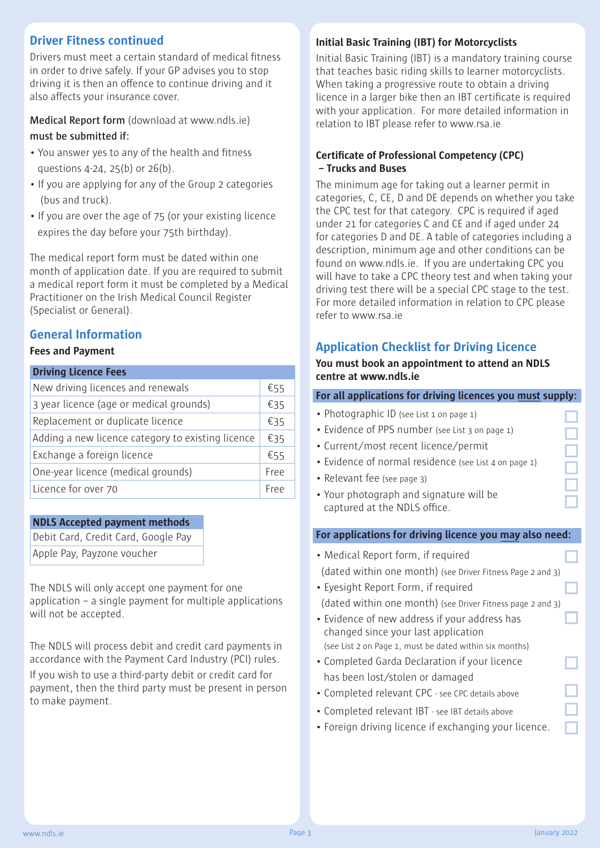# **Driver Fitness continued**

Drivers must meet a certain standard of medical fitness in order to drive safely. If your GP advises you to stop driving it is then an offence to continue driving and it also affects your insurance cover.

**Medical Report form** (download at www.ndls.ie) **must be submitted if:**

- You answer yes to any of the health and fitness questions 4-24, 25(b) or 26(b).
- If you are applying for any of the Group 2 categories (bus and truck).
- If you are over the age of 75 (or your existing licence expires the day before your 75th birthday).

The medical report form must be dated within one month of application date. If you are required to submit a medical report form it must be completed by a Medical Practitioner on the Irish Medical Council Register (Specialist or General).

## **General Information**

#### **Fees and Payment**

| <b>Driving Licence Fees</b>                       |      |  |  |
|---------------------------------------------------|------|--|--|
| New driving licences and renewals                 | €55  |  |  |
| 3 year licence (age or medical grounds)           | €35  |  |  |
| Replacement or duplicate licence                  | €35  |  |  |
| Adding a new licence category to existing licence |      |  |  |
| Exchange a foreign licence                        | €55  |  |  |
| One-year licence (medical grounds)                | Free |  |  |
| Licence for over 70                               | Free |  |  |

#### **NDLS Accepted payment methods**

Debit Card, Credit Card, Google Pay Apple Pay, Payzone voucher

The NDLS will only accept one payment for one application – a single payment for multiple applications will not be accepted.

The NDLS will process debit and credit card payments in accordance with the Payment Card Industry (PCI) rules. If you wish to use a third-party debit or credit card for payment, then the third party must be present in person to make payment.

#### **Initial Basic Training (IBT) for Motorcyclists**

Initial Basic Training (IBT) is a mandatory training course that teaches basic riding skills to learner motorcyclists. When taking a progressive route to obtain a driving licence in a larger bike then an IBT certificate is required with your application. For more detailed information in relation to IBT please refer to www.rsa.ie

#### **Certificate of Professional Competency (CPC) – Trucks and Buses**

The minimum age for taking out a learner permit in categories, C, CE, D and DE depends on whether you take the CPC test for that category. CPC is required if aged under 21 for categories C and CE and if aged under 24 for categories D and DE. A table of categories including a description, minimum age and other conditions can be found on www.ndls.ie. If you are undertaking CPC you will have to take a CPC theory test and when taking your driving test there will be a special CPC stage to the test. For more detailed information in relation to CPC please refer to www.rsa.ie

# **Application Checklist for Driving Licence**

#### **You must book an appointment to attend an NDLS centre at www.ndls.ie**

#### **For all applications for driving licences you must supply:**

- Photographic ID (see List 1 on page 1)
- Evidence of PPS number (see List 3 on page 1)
- Current/most recent licence/permit
- Evidence of normal residence (see List 4 on page 1)
- Relevant fee (see page 3)
- Your photograph and signature will be captured at the NDLS office.

#### **For applications for driving licence you may also need:**

- Medical Report form, if required (dated within one month) (see Driver Fitness Page 2 and 3) • Eyesight Report Form, if required
- (dated within one month) (see Driver Fitness page 2 and 3)
- Evidence of new address if your address has changed since your last application (see List 2 on Page 1, must be dated within six months)
- Completed Garda Declaration if your licence has been lost/stolen or damaged
- Completed relevant CPC see CPC details above
- Completed relevant IBT see IBT details above
- Foreign driving licence if exchanging your licence.

٦